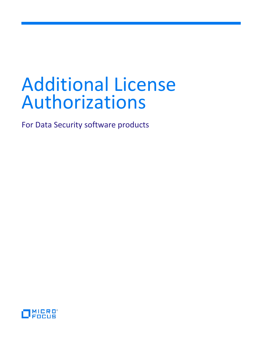For Data Security software products

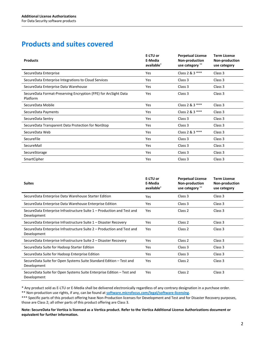# **Products and suites covered**

| <b>Products</b>                                                             | E-LTU or<br>E-Media<br>available* | <b>Perpetual License</b><br>Non-production<br>use category ** | <b>Term License</b><br>Non-production<br>use category |
|-----------------------------------------------------------------------------|-----------------------------------|---------------------------------------------------------------|-------------------------------------------------------|
| SecureData Enterprise                                                       | Yes                               | Class 2 & 3 ***                                               | Class 3                                               |
| SecureData Enterprise Integrations to Cloud Services                        | Yes                               | Class 3                                                       | Class 3                                               |
| SecureData Enterprise Data Warehouse                                        | Yes                               | Class 3                                                       | Class 3                                               |
| SecureData Format-Preserving Encryption (FPE) for ArcSight Data<br>Platform | Yes                               | Class 3                                                       | Class 3                                               |
| SecureData Mobile                                                           | Yes                               | Class 2 & 3 ***                                               | Class 3                                               |
| SecureData Payments                                                         | Yes                               | Class 2 & 3 ***                                               | Class 3                                               |
| SecureData Sentry                                                           | Yes                               | Class 3                                                       | Class 3                                               |
| SecureData Transparent Data Protection for NonStop                          | Yes                               | Class 3                                                       | Class 3                                               |
| SecureData Web                                                              | Yes                               | Class 2 & 3 ***                                               | Class 3                                               |
| SecureFile                                                                  | Yes                               | Class 3                                                       | Class 3                                               |
| SecureMail                                                                  | Yes                               | Class 3                                                       | Class 3                                               |
| SecureStorage                                                               | Yes                               | Class 3                                                       | Class 3                                               |
| SmartCipher                                                                 | Yes                               | Class 3                                                       | Class 3                                               |

| <b>Suites</b>                                                                         | E-LTU or<br>E-Media<br>available <sup>*</sup> | <b>Perpetual License</b><br>Non-production<br>use category ** | <b>Term License</b><br>Non-production<br>use category |
|---------------------------------------------------------------------------------------|-----------------------------------------------|---------------------------------------------------------------|-------------------------------------------------------|
| SecureData Enterprise Data Warehouse Starter Edition                                  | Yes                                           | Class 3                                                       | Class 3                                               |
| SecureData Enterprise Data Warehouse Enterprise Edition                               | <b>Yes</b>                                    | Class 3                                                       | Class 3                                               |
| SecureData Enterprise Infrastructure Suite 1 – Production and Test and<br>Development | Yes                                           | Class 2                                                       | Class 3                                               |
| SecureData Enterprise Infrastructure Suite 1 – Disaster Recovery                      | Yes                                           | Class 2                                                       | Class 3                                               |
| SecureData Enterprise Infrastructure Suite 2 - Production and Test and<br>Development | <b>Yes</b>                                    | Class <sub>2</sub>                                            | Class 3                                               |
| SecureData Enterprise Infrastructure Suite 2 – Disaster Recovery                      | Yes                                           | Class 2                                                       | Class 3                                               |
| SecureData Suite for Hadoop Starter Edition                                           | Yes                                           | Class 3                                                       | Class 3                                               |
| SecureData Suite for Hadoop Enterprise Edition                                        | Yes                                           | Class 3                                                       | Class 3                                               |
| SecureData Suite for Open Systems Suite Standard Edition – Test and<br>Development    | Yes                                           | Class 2                                                       | Class 3                                               |
| SecureData Suite for Open Systems Suite Enterprise Edition – Test and<br>Development  | <b>Yes</b>                                    | Class 2                                                       | Class 3                                               |

\* Any product sold as E-LTU or E-Media shall be delivered electronically regardless of any contrary designation in a purchase order. \*\* Non-production use rights, if any, can be found at **[software.microfocus.com/legal/software-licensing](https://software.microfocus.com/legal/software-licensing)**.

\*\*\* Specific parts of this product offering have Non-Production licenses for Development and Test and for Disaster Recovery purposes, those are Class 2; all other parts of this product offering are Class 3.

**Note: SecureData for Vertica is licensed as a Vertica product. Refer to the Vertica Additional License Authorizations document or equivalent for further information.**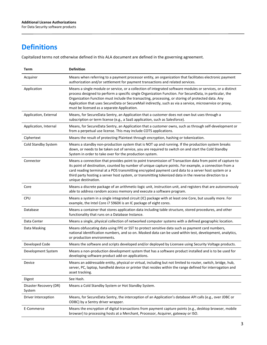# **Definitions**

Capitalized terms not otherwise defined in this ALA document are defined in the governing agreement.

| Term                             | <b>Definition</b>                                                                                                                                                                                                                                                                                                                                                                                                                                                                      |
|----------------------------------|----------------------------------------------------------------------------------------------------------------------------------------------------------------------------------------------------------------------------------------------------------------------------------------------------------------------------------------------------------------------------------------------------------------------------------------------------------------------------------------|
| Acquirer                         | Means when referring to a payment processor entity, an organization that facilitates electronic payment<br>authorization and/or settlement for payment transactions and related services.                                                                                                                                                                                                                                                                                              |
| Application                      | Means a single module or service, or a collection of integrated software modules or services, or a distinct<br>process designed to perform a specific single Organization Function. For SecureData, in particular, the<br>Organization Function must include the transacting, processing, or storing of protected data. Any<br>Application that uses SecureData or SecureMail indirectly, such as via a service, microservice or proxy,<br>must be licensed as a separate Application. |
| Application, External            | Means, for SecureData Sentry, an Application that a customer does not own but uses through a<br>subscription or term license (e.g., a SaaS application, such as Salesforce).                                                                                                                                                                                                                                                                                                           |
| Application, Internal            | Means, for SecureData Sentry, an Application that a customer owns, such as through self-development or<br>from a perpetual use license. This may include COTS applications.                                                                                                                                                                                                                                                                                                            |
| Ciphertext                       | Means the result of protecting Plaintext through encryption, hashing or tokenization.                                                                                                                                                                                                                                                                                                                                                                                                  |
| Cold Standby System              | Means a standby non-production system that is NOT up and running. If the production system breaks<br>down, or needs to be taken out of service, you are required to switch on and start the Cold Standby<br>System in order to take over for the production system.                                                                                                                                                                                                                    |
| Connector                        | Means a connection that provides point to point transmission of Transaction data from point of capture to<br>its point of destination, counted by number of unique capture points. For example, a connection from a<br>card reading terminal at a POS transmitting encrypted payment card data to a server host system or a<br>third party hosting a server host system, or transmitting tokenized data in the reverse direction to a<br>unique destination.                           |
| Core                             | Means a discrete package of an arithmetic-logic unit, instruction unit, and registers that are autonomously<br>able to address random access memory and execute a software program.                                                                                                                                                                                                                                                                                                    |
| <b>CPU</b>                       | Means a system in a single integrated circuit (IC) package with at least one Core, but usually more. For<br>example, the Intel Core i7 5960X is an IC package of eight cores.                                                                                                                                                                                                                                                                                                          |
| Database                         | Means a container that stores application data including table structure, stored procedures, and other<br>functionality that runs on a Database Instance.                                                                                                                                                                                                                                                                                                                              |
| Data Center                      | Means a single, physical collection of networked computer systems with a defined geographic location.                                                                                                                                                                                                                                                                                                                                                                                  |
| Data Masking                     | Means obfuscating data using FPE or SST to protect sensitive data such as payment card numbers,<br>national identification numbers, and so on. Masked data can be used within test, development, analytics,<br>or production environments.                                                                                                                                                                                                                                             |
| Developed Code                   | Means the software and scripts developed and/or deployed by Licensee using Security Voltage products.                                                                                                                                                                                                                                                                                                                                                                                  |
| Development System               | Means a non-production development system that has a software product installed and is to be used for<br>developing software product add-on applications.                                                                                                                                                                                                                                                                                                                              |
| Device                           | Means an addressable entity, physical or virtual, including but not limited to router, switch, bridge, hub,<br>server, PC, laptop, handheld device or printer that resides within the range defined for interrogation and<br>asset tracking.                                                                                                                                                                                                                                           |
| Digest                           | See Hash.                                                                                                                                                                                                                                                                                                                                                                                                                                                                              |
| Disaster Recovery (DR)<br>System | Means a Cold Standby System or Hot Standby System.                                                                                                                                                                                                                                                                                                                                                                                                                                     |
| Driver Interception              | Means, for SecureData Sentry, the interception of an Application's database API calls (e.g., over JDBC or<br>ODBC) by a Sentry driver wrapper.                                                                                                                                                                                                                                                                                                                                         |
| E-Commerce                       | Means the encryption of digital transactions from payment capture points (e.g., desktop browser, mobile<br>browser) to processing hosts at a Merchant, Processor, Acquirer, gateway or ISO.                                                                                                                                                                                                                                                                                            |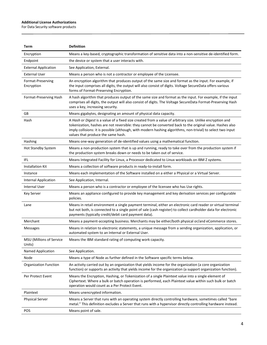For Data Security software products

| Term                               | <b>Definition</b>                                                                                                                                                                                                                                                                                                                                                            |
|------------------------------------|------------------------------------------------------------------------------------------------------------------------------------------------------------------------------------------------------------------------------------------------------------------------------------------------------------------------------------------------------------------------------|
| Encryption                         | Means a key-based, cryptographic transformation of sensitive data into a non-sensitive de-identified form.                                                                                                                                                                                                                                                                   |
| Endpoint                           | the device or system that a user interacts with.                                                                                                                                                                                                                                                                                                                             |
| <b>External Application</b>        | See Application, External.                                                                                                                                                                                                                                                                                                                                                   |
| <b>External User</b>               | Means a person who is not a contractor or employee of the Licensee.                                                                                                                                                                                                                                                                                                          |
| Format-Preserving<br>Encryption    | An encryption algorithm that produces output of the same size and format as the input. For example, if<br>the input comprises all digits, the output will also consist of digits. Voltage SecureData offers various<br>forms of Format-Preserving Encryption.                                                                                                                |
| Format-Preserving Hash             | A hash algorithm that produces output of the same size and format as the input. For example, if the input<br>comprises all digits, the output will also consist of digits. The Voltage SecureData Format-Preserving Hash<br>uses a key, increasing security.                                                                                                                 |
| GB                                 | Means gigabytes, designating an amount of physical data capacity.                                                                                                                                                                                                                                                                                                            |
| Hash                               | A Hash or Digest is a value of a fixed size created from a value of arbitrary size. Unlike encryption and<br>tokenization, hashes are not reversible: they cannot be converted back to the original value. Hashes also<br>imply collisions: it is possible (although, with modern hashing algorithms, non-trivial) to select two input<br>values that produce the same hash. |
| Hashing                            | Means one-way generation of de-identified values using a mathematical function.                                                                                                                                                                                                                                                                                              |
| <b>Hot Standby System</b>          | Means a non-production system that is up and running, ready to take over from the production system if<br>the production system breaks down or needs to be taken out of service.                                                                                                                                                                                             |
| IFL                                | Means Integrated Facility for Linux, a Processor dedicated to Linux workloads on IBM Z systems.                                                                                                                                                                                                                                                                              |
| <b>Installation Kit</b>            | Means a collection of software products in ready-to-install form.                                                                                                                                                                                                                                                                                                            |
| Instance                           | Means each implementation of the Software installed on a either a Physical or a Virtual Server.                                                                                                                                                                                                                                                                              |
| Internal Application               | See Application, Internal.                                                                                                                                                                                                                                                                                                                                                   |
| Internal User                      | Means a person who is a contractor or employee of the licensee who has Use rights.                                                                                                                                                                                                                                                                                           |
| Key Server                         | Means an appliance configured to provide key management and key derivation services per configurable<br>policies.                                                                                                                                                                                                                                                            |
| Lane                               | Means in retail environment a single payment terminal, either an electronic card reader or virtual terminal<br>but not both, is connected to a single point of sale (cash register) to collect cardholder data for electronic<br>payments (typically credit/debit card payment data).                                                                                        |
| Merchant                           | Means a payment-accepting business. Merchants may be either/both physical or/and eCommerce stores.                                                                                                                                                                                                                                                                           |
| <b>Messages</b>                    | Means in relation to electronic statements, a unique message from a sending organization, application, or<br>automated system to an Internal or External User.                                                                                                                                                                                                               |
| MSU (Millions of Service<br>Units) | Means the IBM standard rating of computing work capacity.                                                                                                                                                                                                                                                                                                                    |
| Named Application                  | See Application.                                                                                                                                                                                                                                                                                                                                                             |
| Node                               | Means a type of Node as further defined in the Software specific terms below.                                                                                                                                                                                                                                                                                                |
| <b>Organization Function</b>       | An activity carried out by an organization that yields income for the organization (a core organization<br>function) or supports an activity that yields income for the organization (a support organization function).                                                                                                                                                      |
| Per Protect Event                  | Means the Encryption, Hashing, or Tokenization of a single Plaintext value into a single element of<br>Ciphertext. Where a bulk or batch operation is performed, each Plaintext value within such bulk or batch<br>operation would count as a Per Protect Event.                                                                                                             |
| Plaintext                          | Means unencrypted information.                                                                                                                                                                                                                                                                                                                                               |
| <b>Physical Server</b>             | Means a Server that runs with an operating system directly controlling hardware, sometimes called "bare<br>metal." This definition excludes a Server that runs with a hypervisor directly controlling hardware instead.                                                                                                                                                      |
| POS                                | Means point of sale.                                                                                                                                                                                                                                                                                                                                                         |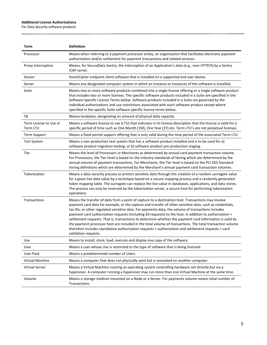For Data Security software products

| Term                               | <b>Definition</b>                                                                                                                                                                                                                                                                                                                                                                                                                                                                                                                                                                                                                                                                                                                                                                        |
|------------------------------------|------------------------------------------------------------------------------------------------------------------------------------------------------------------------------------------------------------------------------------------------------------------------------------------------------------------------------------------------------------------------------------------------------------------------------------------------------------------------------------------------------------------------------------------------------------------------------------------------------------------------------------------------------------------------------------------------------------------------------------------------------------------------------------------|
| Processor                          | Means when referring to a payment processor entity, an organization that facilitates electronic payment<br>authorization and/or settlement for payment transactions and related services.                                                                                                                                                                                                                                                                                                                                                                                                                                                                                                                                                                                                |
| Proxy Interception                 | Means, for SecureData Sentry, the interception of an Application's data (e.g., over HTTP/S) by a Sentry<br>ICAP server.                                                                                                                                                                                                                                                                                                                                                                                                                                                                                                                                                                                                                                                                  |
| Sensor                             | SmartCipher endpoint client software that is installed on a supported end user device.                                                                                                                                                                                                                                                                                                                                                                                                                                                                                                                                                                                                                                                                                                   |
| Server                             | Means any designated computer system in which an Instance or Instances of the software is installed.                                                                                                                                                                                                                                                                                                                                                                                                                                                                                                                                                                                                                                                                                     |
| Suite                              | Means two or more software products combined into a single license offering or a single software product<br>that includes two or more licenses. The specific software products included in a Suite are specified in the<br>Software Specific License Terms below. Software products included in a Suite are governed by the<br>individual authorizations and use restrictions associated with each software product except where<br>specified in the specific Suite software specific license terms below.                                                                                                                                                                                                                                                                               |
| ΤВ                                 | Means terabytes, designating an amount of physical data capacity.                                                                                                                                                                                                                                                                                                                                                                                                                                                                                                                                                                                                                                                                                                                        |
| Term License to Use or<br>Term LTU | Means a software license to use (LTU) that indicates in its license description that the license is valid for a<br>specific period of time such as One Month (1M), One Year (1Y) etc. Term LTU's are not perpetual licenses.                                                                                                                                                                                                                                                                                                                                                                                                                                                                                                                                                             |
| <b>Term Support</b>                | Means a fixed period support offering that is only valid during the time period of the associated Term LTU.                                                                                                                                                                                                                                                                                                                                                                                                                                                                                                                                                                                                                                                                              |
| <b>Test System</b>                 | Means a non-production test system that has a software product installed and is to be used for a)<br>software product migration testing, or b) software product pre-production staging.                                                                                                                                                                                                                                                                                                                                                                                                                                                                                                                                                                                                  |
| Tier                               | Means the level of Processors or Merchants as determined by annual card payment transaction volume.<br>For Processors, the Tier level is based on the industry standards of tiering which are determined by the<br>annual volume of payment transactions. For Merchants, the Tier level is based on the PCI DSS Standard<br>tiering definitions which are determined by the Merchant's annual payment card transaction volumes.                                                                                                                                                                                                                                                                                                                                                          |
| Tokenization                       | Means a data security process to protect sensitive data through the creation of a random surrogate value<br>for a given live data value by a technique based on a secure mapping process and a randomly generated<br>token mapping table. The surrogate can replace the live value in databases, applications, and data stores.<br>The process can only be reversed by the tokenization server, a secure host for performing tokenization<br>operations.                                                                                                                                                                                                                                                                                                                                 |
| Transactions                       | Means the transfer of data from a point of capture to a destination host. Transactions may involve<br>payment card data for example, or the capture and transfer of other sensitive data, such as credentials,<br>tax IDs, or other regulated sensitive data. For payments data, the volume of transactions includes<br>payment card authorization requests (including \$0 requests) to the host, in addition to authorization +<br>settlement requests. That is, transactions to determine whether the payment card information is valid by<br>the payment processor host are included in the total volume of transactions. The total transaction volume<br>therefore includes standalone authorization requests + authorization and settlement requests + card<br>validation requests. |
| Use                                | Means to install, store, load, execute and display one copy of the software.                                                                                                                                                                                                                                                                                                                                                                                                                                                                                                                                                                                                                                                                                                             |
| User                               | Means a user whose Use is restricted to the type of software that is being licensed.                                                                                                                                                                                                                                                                                                                                                                                                                                                                                                                                                                                                                                                                                                     |
| <b>User Pack</b>                   | Means a predetermined number of Users.                                                                                                                                                                                                                                                                                                                                                                                                                                                                                                                                                                                                                                                                                                                                                   |
| Virtual Machine                    | Means a computer that does not physically exist but is simulated on another computer.                                                                                                                                                                                                                                                                                                                                                                                                                                                                                                                                                                                                                                                                                                    |
| <b>Virtual Server</b>              | Means a Virtual Machine running an operating system controlling hardware not directly but via a<br>hypervisor. A computer running a hypervisor may run more than one Virtual Machine at the same time.                                                                                                                                                                                                                                                                                                                                                                                                                                                                                                                                                                                   |
| Volume                             | Means a storage medium mounted on a Node or a Server. For payments volume means total number of<br>Transactions.                                                                                                                                                                                                                                                                                                                                                                                                                                                                                                                                                                                                                                                                         |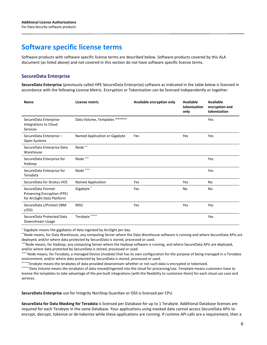# **Software specific license terms**

Software products with software specific license terms are described below. Software products covered by this ALA document (as listed above) and not covered in this section do not have software specific license terms.

# **SecureData Enterprise**

**SecureData Enterprise** (previously called HPE SecureData Enterprise) software as indicated in the table below is licensed in accordance with the following License Metric. Encryption or Tokenization can be licensed independently or together.

| <b>Name</b>                                                                     | License metric                | Available encryption only | Available<br>tokenization<br>only | Available<br>encryption and<br>tokenization |
|---------------------------------------------------------------------------------|-------------------------------|---------------------------|-----------------------------------|---------------------------------------------|
| SecureData Enterprise<br>Integrations to Cloud<br>Services                      | Data Volume, Templates ****** |                           |                                   | Yes                                         |
| SecureData Enterprise-<br>Open Systems                                          | Named Application or Gigabyte | Yes                       | Yes                               | Yes                                         |
| SecureData Enterprise Data<br>Warehouse                                         | Node**                        |                           |                                   |                                             |
| SecureData Enterprise for<br>Hadoop                                             | Node ***                      |                           |                                   | Yes                                         |
| SecureData Enterprise for<br>Teradata                                           | Node $\hspace{0.1mm}^{***}$   |                           |                                   | Yes                                         |
| SecureData for Stratus VOS                                                      | Named Application             | Yes                       | Yes                               | No                                          |
| SecureData Format-<br>Preserving Encryption (FPE)<br>for ArcSight Data Platform | Gigabyte*                     | Yes                       | No                                | No                                          |
| SecureData z/Protect (IBM<br>z/OS                                               | <b>MSU</b>                    | Yes                       | Yes                               | Yes                                         |
| SecureData Protected Data<br>Downstream Usage                                   | Terabyte *****                |                           |                                   | Yes                                         |

\* Gigabyte means the gigabytes of data ingested by ArcSight per day.

\*\*Node means, for Data Warehouse, any computing Server where the Data Warehouse software is running and where SecureData APIs are deployed, and/or where data protected by SecureData is stored, processed or used.

\*\*\*Node means, for Hadoop, any computing Server where the Hadoop software is running, and where SecureData APIs are deployed,

and/or where data protected by SecureData is stored, processed or used.<br>\*\*\*\* Node means, for Teradata, a managed Device (module) that has its own configuration for the purpose of being managed in a Teradata environment, and/or where data protected by SecureData is stored, processed or used.<br>\*\*\*\*\*Terabyte means the terabytes of data provided downstream whether or not such data is encrypted or tokenized.

\*\*\*\*\*\*Data Volume means the terabytes of data moved/ingested into the cloud for processing/use. Template means customers have to license the templates to take advantage of the pre-built integrations (with the flexibility to customize them) for each cloud use case and services.

**SecureData Enterprise** use for Integrity NonStop Guardian or OSS is licensed per CPU.

**SecureData for Data Masking for Teradata** is licensed per Database for up to 1 Terabyte. Additional Database licenses are required for each Terabyte in the same Database. Your applications using masked data cannot access SecureData APIs to encrypt, decrypt, tokenize or de-tokenize while these applications are running. If runtime API calls are a requirement, then a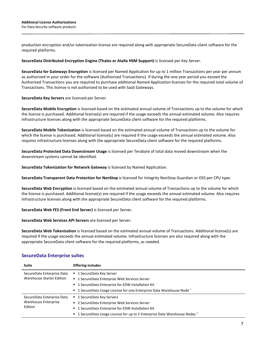production encryption and/or tokenization license are required along with appropriate SecureData client software for the required platforms.

#### **SecureData Distributed Encryption Engine (Thales or Atalla HSM Support)** is licensed per Key Server.

**SecureData for Gateways Encryption** is licensed per Named Application for up to 1 million Transactions per year per annum as authorized in your order for the software (Authorized Transactions). If during the one year period you exceed the Authorized Transactions you are required to purchase additional Named Application licenses for the required total volume of Transactions. This license is not authorized to be used with SaaS Gateways.

**SecureData Key Servers** are licensed per Server.

**SecureData Mobile Encryption** is licensed based on the estimated annual volume of Transactions up to the volume for which the license is purchased. Additional license(s) are required if the usage exceeds the annual estimated volume. Also requires infrastructure licenses along with the appropriate SecureData client software for the required platforms.

**SecureData Mobile Tokenization** is licensed based on the estimated annual volume of Transactions up to the volume for which the license is purchased. Additional license(s) are required if the usage exceeds the annual estimated volume. Also requires infrastructure licenses along with the appropriate SecureData client software for the required platforms.

**SecureData Protected Data Downstream Usage** is licensed per Terabyte of total data moved downstream when the downstream systems cannot be identified.

**SecureData Tokenization for Network Gateway** is licensed by Named Application.

**SecureData Transparent Data Protection for NonStop** is licensed for Integrity NonStop Guardian or OSS per CPU type.

**SecureData Web Encryption** is licensed based on the estimated annual volume of Transactions up to the volume for which the license is purchased. Additional license(s) are required if the usage exceeds the annual estimated volume. Also requires infrastructure licenses along with the appropriate SecureData client software for the required platforms.

**SecureData Web FES (Front End Server)** is licensed per Server.

**SecureData Web Services API Servers** are licensed per Server.

**SecureData Web Tokenization** is licensed based on the estimated annual volume of Transactions. Additional license(s) are required if the usage exceeds the annual estimated volume. Infrastructure licenses are also required along with the appropriate SecureData client software for the required platforms, as needed.

| <b>Suite</b>                    | <b>Offering includes</b>                                                   |
|---------------------------------|----------------------------------------------------------------------------|
| SecureData Enterprise Data      | ■ 1 SecureData Key Server                                                  |
| Warehouse Starter Edition       | ■ 1 SecureData Enterprise Web Services Server                              |
|                                 | ■ 1 SecureData Enterprise for EDW Installation Kit                         |
|                                 | " 1 SecureData Usage License for one Enterprise Data Warehouse Node*       |
| SecureData Enterprise Data      | ■ 2 SecureData Key Servers                                                 |
| Warehouse Enterprise<br>Edition | ■ 2 SecureData Enterprise Web Services Server                              |
|                                 | ■ 1 SecureData Enterprise for EDW Installation Kit                         |
|                                 | ■ 1 SecureData Usage License for up to 5 Enterprise Data Warehouse Nodes * |

# **SecureData Enterprise suites**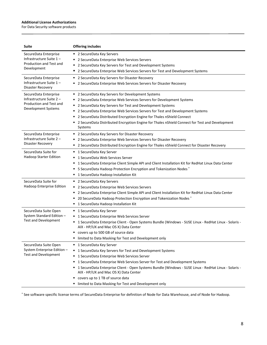For Data Security software products

| <b>Suite</b>                                                                                        | <b>Offering includes</b>                                                                                                                                                                                                                                                                                                                                                                                                                                                                 |
|-----------------------------------------------------------------------------------------------------|------------------------------------------------------------------------------------------------------------------------------------------------------------------------------------------------------------------------------------------------------------------------------------------------------------------------------------------------------------------------------------------------------------------------------------------------------------------------------------------|
| SecureData Enterprise<br>Infrastructure Suite 1-<br>Production and Test and<br>Development          | ■ 2 SecureData Key Servers<br>2 SecureData Enterprise Web Services Servers<br>٠<br>2 SecureData Key Servers for Test and Development Systems<br>٠<br>2 SecureData Enterprise Web Services Servers for Test and Development Systems<br>п                                                                                                                                                                                                                                                  |
| SecureData Enterprise<br>Infrastructure Suite 1-<br>Disaster Recovery                               | 2 SecureData Key Servers for Disaster Recovery<br>٠<br>2 SecureData Enterprise Web Services Servers for Disaster Recovery<br>٠                                                                                                                                                                                                                                                                                                                                                           |
| SecureData Enterprise<br>Infrastructure Suite 2 -<br>Production and Test and<br>Development Systems | ■ 2 SecureData Key Servers for Development Systems<br>2 SecureData Enterprise Web Services Servers for Development Systems<br>٠<br>2 SecureData Key Servers for Test and Development Systems<br>٠<br>2 SecureData Enterprise Web Services Servers for Test and Development Systems<br>٠<br>2 SecureData Distributed Encryption Engine for Thales nShield Connect<br>2 SecureData Distributed Encryption Engine for Thales nShield Connect for Test and Development<br>Systems            |
| SecureData Enterprise<br>Infrastructure Suite 2 -<br>Disaster Recovery                              | " 2 SecureData Key Servers for Disaster Recovery<br>2 SecureData Enterprise Web Services Servers for Disaster Recovery<br>2 SecureData Distributed Encryption Engine for Thales nShield Connect for Disaster Recovery<br>٠                                                                                                                                                                                                                                                               |
| SecureData Suite for<br>Hadoop Starter Edition                                                      | 1 SecureData Key Server<br>٠<br>1 SecureData Web Services Server<br>1 SecureData Enterprise Client Simple API and Client Installation Kit for RedHat Linux Data Center<br>٠<br>5 SecureData Hadoop Protection Encryption and Tokenization Nodes*<br>1 SecureData Hadoop Installation Kit<br>٠                                                                                                                                                                                            |
| SecureData Suite for<br>Hadoop Enterprise Edition                                                   | ■ 2 SecureData Key Servers<br>2 SecureData Enterprise Web Services Servers<br>٠<br>2 SecureData Enterprise Client Simple API and Client Installation Kit for RedHat Linux Data Center<br>٠<br>20 SecureData Hadoop Protection Encryption and Tokenization Nodes*<br>1 SecureData Hadoop Installation Kit<br>٠                                                                                                                                                                            |
| SecureData Suite Open<br>System Standard Edition -<br><b>Test and Development</b>                   | ■ 1 SecureData Key Server<br>1 SecureData Enterprise Web Services Server<br>٠<br>1 SecureData Enterprise Client - Open Systems Bundle (Windows - SUSE Linux - RedHat Linux - Solaris -<br>٠<br>AIX - HP/UX and Mac OS X) Data Center<br>" covers up to 500 GB of source data<br>limited to Data Masking for Test and Development only                                                                                                                                                    |
| SecureData Suite Open<br>System Enterprise Edition -<br><b>Test and Development</b>                 | ■ 1 SecureData Key Server<br>1 SecureData Key Servers for Test and Development Systems<br>٠<br>1 SecureData Enterprise Web Services Server<br>٠<br>1 SecureData Enterprise Web Services Server for Test and Development Systems<br>٠<br>1 SecureData Enterprise Client - Open Systems Bundle (Windows - SUSE Linux - RedHat Linux - Solaris -<br>٠<br>AIX - HP/UX and Mac OS X) Data Center<br>covers up to 1 TB of source data<br>limited to Data Masking for Test and Development only |

\* See software specific license terms of SecureData Enterprise for definition of Node for Data Warehouse, and of Node for Hadoop.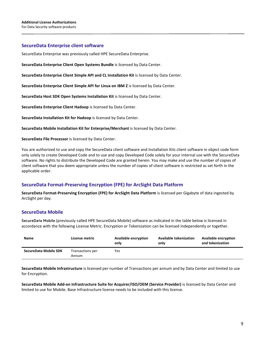## **SecureData Enterprise client software**

SecureData Enterprise was previously called HPE SecureData Enterprise.

**SecureData Enterprise Client Open Systems Bundle** is licensed by Data Center.

**SecureData Enterprise Client Simple API and CL Installation Kit** is licensed by Data Center.

**SecureData Enterprise Client Simple API for Linux on IBM Z** is licensed by Data Center.

**SecureData Host SDK Open Systems Installation Kit** is licensed by Data Center.

**SecureData Enterprise Client Hadoop** is licensed by Data Center.

**SecureData Installation Kit for Hadoop** is licensed by Data Center.

**SecureData Mobile Installation Kit for Enterprise/Merchant** is licensed by Data Center.

**SecureData File Processor** is licensed by Data Center.

You are authorized to use and copy the SecureData client software and Installation Kits client software in object code form only solely to create Developed Code and to use and copy Developed Code solely for your internal use with the SecureData software. No rights to distribute the Developed Code are granted herein. You may make and use the number of copies of client software that you deem appropriate unless the number of copies of client software is restricted as set forth in the applicable order.

# **SecureData Format-Preserving Encryption (FPE) for ArcSight Data Platform**

**SecureData Format-Preserving Encryption (FPE) for ArcSight Data Platform** is licensed per Gigabyte of data ingested by ArcSight per day.

# **SecureData Mobile**

SecureData Mobile (previously called HPE SecureData Mobile) software as indicated in the table below is licensed in accordance with the following License Metric. Encryption or Tokenization can be licensed independently or together.

| <b>Name</b>           | License metric            | Available encryption<br>only | <b>Available tokenization</b><br>only | <b>Available encryption</b><br>and tokenization |
|-----------------------|---------------------------|------------------------------|---------------------------------------|-------------------------------------------------|
| SecureData Mobile SDK | Transactions per<br>Annum | Yes                          |                                       |                                                 |

**SecureData Mobile Infrastructure** is licensed per number of Transactions per annum and by Data Center and limited to use for Encryption.

**SecureData Mobile Add-on Infrastructure Suite for Acquirer/ISO/OEM (Service Provider)** is licensed by Data Center and limited to use for Mobile. Base Infrastructure license needs to be included with this license.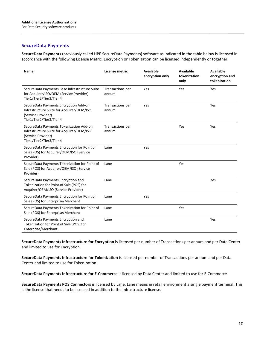# **SecureData Payments**

**SecureData Payments** (previously called HPE SecureData Payments) software as indicated in the table below is licensed in accordance with the following License Metric. Encryption or Tokenization can be licensed independently or together.

| <b>Name</b>                                                                                                                            | License metric            | Available<br>encryption only | <b>Available</b><br>tokenization<br>only | Available<br>encryption and<br>tokenization |
|----------------------------------------------------------------------------------------------------------------------------------------|---------------------------|------------------------------|------------------------------------------|---------------------------------------------|
| SecureData Payments Base Infrastructure Suite<br>for Acquirer/ISO/OEM (Service Provider)<br>Tier1/Tier2/Tier3/Tier 4                   | Transactions per<br>annum | Yes                          | Yes                                      | Yes                                         |
| SecureData Payments Encryption Add-on<br>Infrastructure Suite for Acquirer/OEM/ISO<br>(Service Provider)<br>Tier1/Tier2/Tier3/Tier 4   | Transactions per<br>annum | Yes                          |                                          | Yes                                         |
| SecureData Payments Tokenization Add-on<br>Infrastructure Suite for Acquirer/OEM/ISO<br>(Service Provider)<br>Tier1/Tier2/Tier3/Tier 4 | Transactions per<br>annum |                              | Yes                                      | Yes                                         |
| SecureData Payments Encryption for Point of<br>Sale (POS) for Acquirer/OEM/ISO (Service<br>Provider)                                   | Lane                      | Yes                          |                                          |                                             |
| SecureData Payments Tokenization for Point of<br>Sale (POS) for Acquirer/OEM/ISO (Service<br>Provider)                                 | Lane                      |                              | Yes                                      |                                             |
| SecureData Payments Encryption and<br>Tokenization for Point of Sale (POS) for<br>Acquirer/OEM/ISO (Service Provider)                  | Lane                      |                              |                                          | Yes                                         |
| SecureData Payments Encryption for Point of<br>Sale (POS) for Enterprise/Merchant                                                      | Lane                      | Yes                          |                                          |                                             |
| SecureData Payments Tokenization for Point of<br>Sale (POS) for Enterprise/Merchant                                                    | Lane                      |                              | Yes                                      |                                             |
| SecureData Payments Encryption and<br>Tokenization for Point of Sale (POS) for<br>Enterprise/Merchant                                  | Lane                      |                              |                                          | Yes                                         |

**SecureData Payments Infrastructure for Encryption** is licensed per number of Transactions per annum and per Data Center and limited to use for Encryption.

**SecureData Payments Infrastructure for Tokenization** is licensed per number of Transactions per annum and per Data Center and limited to use for Tokenization.

**SecureData Payments Infrastructure for E-Commerce** is licensed by Data Center and limited to use for E-Commerce.

**SecureData Payments POS Connectors** is licensed by Lane. Lane means in retail environment a single payment terminal. This is the license that needs to be licensed in addition to the Infrastructure license.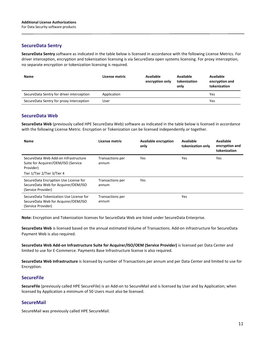# **SecureData Sentry**

**SecureData Sentry** software as indicated in the table below is licensed in accordance with the following License Metrics. For driver interception, encryption and tokenization licensing is via SecureData open systems licensing. For proxy interception, no separate encryption or tokenization licensing is required.

| <b>Name</b>                               | License metric | Available<br>encryption only | Available<br>tokenization<br>only | <b>Available</b><br>encryption and<br>tokenization |
|-------------------------------------------|----------------|------------------------------|-----------------------------------|----------------------------------------------------|
| SecureData Sentry for driver interception | Application    |                              |                                   | Yes                                                |
| SecureData Sentry for proxy interception  | User           |                              |                                   | Yes                                                |

## **SecureData Web**

**SecureData Web** (previously called HPE SecureData Web) software as indicated in the table below is licensed in accordance with the following License Metric. Encryption or Tokenization can be licensed independently or together.

| <b>Name</b>                                                                                          | License metric            | <b>Available encryption</b><br>only | Available<br>tokenization only | Available<br>encryption and<br>tokenization |
|------------------------------------------------------------------------------------------------------|---------------------------|-------------------------------------|--------------------------------|---------------------------------------------|
| SecureData Web Add-on Infrastructure<br>Suite for Acquirer/OEM/ISO (Service<br>Provider)             | Transactions per<br>annum | <b>Yes</b>                          | Yes                            | Yes                                         |
| Tier 1/Tier 2/Tier 3/Tier 4                                                                          |                           |                                     |                                |                                             |
| SecureData Encryption Use License for<br>SecureData Web for Acquirer/OEM/ISO<br>(Service Provider)   | Transactions per<br>annum | <b>Yes</b>                          |                                |                                             |
| SecureData Tokenization Use License for<br>SecureData Web for Acquirer/OEM/ISO<br>(Service Provider) | Transactions per<br>annum |                                     | <b>Yes</b>                     |                                             |

**Note:** Encryption and Tokenization licenses for SecureData Web are listed under SecureData Enterprise.

**SecureData Web** is licensed based on the annual estimated Volume of Transactions. Add-on infrastructure for SecureData Payment Web is also required.

**SecureData Web Add-on Infrastructure Suite for Acquirer/ISO/OEM (Service Provider)** is licensed per Data Center and limited to use for E-Commerce. Payments Base Infrastructure license is also required.

**SecureData Web Infrastructure** is licensed by number of Transactions per annum and per Data Center and limited to use for Encryption.

## **SecureFile**

**SecureFile** (previously called HPE SecureFile) is an Add-on to SecureMail and is licensed by User and by Application; when licensed by Application a minimum of 50 Users must also be licensed.

## **SecureMail**

SecureMail was previously called HPE SecureMail.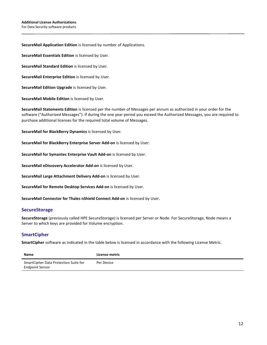#### **SecureMail Application Edition** is licensed by number of Applications.

**SecureMail Essentials Edition** is licensed by User.

**SecureMail Standard Edition** is licensed by User.

**SecureMail Enterprise Edition** is licensed by User.

**SecureMail Edition Upgrade** is licensed by User.

**SecureMail Mobile Edition** is licensed by User.

**SecureMail Statements Edition** is licensed per the number of Messages per annum as authorized in your order for the software ("Authorized Messages"). If during the one year period you exceed the Authorized Messages, you are required to purchase additional licenses for the required total volume of Messages.

**SecureMail for BlackBerry Dynamics** is licensed by User.

**SecureMail for BlackBerry Enterprise Server Add-on** is licensed by User.

**SecureMail for Symantec Enterprise Vault Add-on** is licensed by User.

**SecureMail eDiscovery Accelerator Add-on** is licensed by User.

**SecureMail Large Attachment Delivery Add-on** is licensed by User.

**SecureMail for Remote Desktop Services Add-on** is licensed by User.

**SecureMail Connector for Thales nShield Connect Add-on** is licensed by User.

#### **SecureStorage**

**SecureStorage** (previously called HPE SecureStorage) is licensed per Server or Node. For SecureStorage, Node means a Server to which keys are provided for Volume encryption.

## **SmartCipher**

**SmartCipher** software as indicated in the table below is licensed in accordance with the following License Metric.

| Name                                                            | License metric |
|-----------------------------------------------------------------|----------------|
| SmartCipher Data Protection Suite for<br><b>Endpoint Sensor</b> | Per Device     |